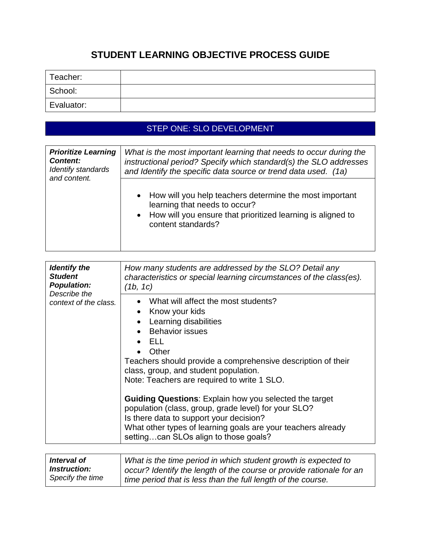# **STUDENT LEARNING OBJECTIVE PROCESS GUIDE**

| Teacher:   |  |
|------------|--|
| School:    |  |
| Evaluator: |  |

## STEP ONE: SLO DEVELOPMENT

| <b>Prioritize Learning</b><br><b>Content:</b><br>Identify standards<br>and content. | What is the most important learning that needs to occur during the<br>instructional period? Specify which standard(s) the SLO addresses<br>and Identify the specific data source or trend data used. (1a) |
|-------------------------------------------------------------------------------------|-----------------------------------------------------------------------------------------------------------------------------------------------------------------------------------------------------------|
|                                                                                     | • How will you help teachers determine the most important<br>learning that needs to occur?<br>• How will you ensure that prioritized learning is aligned to<br>content standards?                         |

| <b>Identify the</b><br><b>Student</b><br><b>Population:</b><br>Describe the<br>context of the class. | How many students are addressed by the SLO? Detail any<br>characteristics or special learning circumstances of the class(es).<br>(1b, 1c)<br>What will affect the most students?                                                                                          |
|------------------------------------------------------------------------------------------------------|---------------------------------------------------------------------------------------------------------------------------------------------------------------------------------------------------------------------------------------------------------------------------|
|                                                                                                      | • Know your kids<br>Learning disabilities                                                                                                                                                                                                                                 |
|                                                                                                      | • Behavior issues                                                                                                                                                                                                                                                         |
|                                                                                                      | <b>ELL</b>                                                                                                                                                                                                                                                                |
|                                                                                                      | Other<br>Teachers should provide a comprehensive description of their<br>class, group, and student population.<br>Note: Teachers are required to write 1 SLO.                                                                                                             |
|                                                                                                      | <b>Guiding Questions:</b> Explain how you selected the target<br>population (class, group, grade level) for your SLO?<br>Is there data to support your decision?<br>What other types of learning goals are your teachers already<br>settingcan SLOs align to those goals? |
| .                                                                                                    | $\mathbf{a}$ and $\mathbf{a}$ are the second function of $\mathbf{a}$<br>.                                                                                                                                                                                                |

| Interval of         | What is the time period in which student growth is expected to       |
|---------------------|----------------------------------------------------------------------|
| <i>Instruction:</i> | occur? Identify the length of the course or provide rationale for an |
| Specify the time    | time period that is less than the full length of the course.         |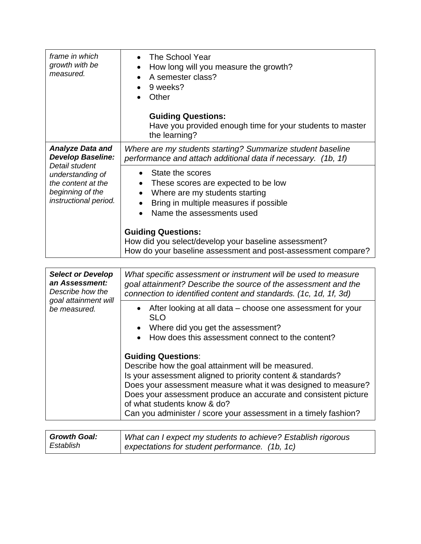| frame in which<br>growth with be<br>measured.                                                         | The School Year<br>How long will you measure the growth?<br>A semester class?<br>9 weeks?<br>Other<br><b>Guiding Questions:</b><br>Have you provided enough time for your students to master<br>the learning?                                                                                                                                                                                                                                                                                                                                             |
|-------------------------------------------------------------------------------------------------------|-----------------------------------------------------------------------------------------------------------------------------------------------------------------------------------------------------------------------------------------------------------------------------------------------------------------------------------------------------------------------------------------------------------------------------------------------------------------------------------------------------------------------------------------------------------|
| <b>Analyze Data and</b><br><b>Develop Baseline:</b>                                                   | Where are my students starting? Summarize student baseline<br>performance and attach additional data if necessary. (1b, 1f)                                                                                                                                                                                                                                                                                                                                                                                                                               |
| Detail student<br>understanding of<br>the content at the<br>beginning of the<br>instructional period. | State the scores<br>$\bullet$<br>These scores are expected to be low<br>$\bullet$<br>Where are my students starting<br>$\bullet$<br>Bring in multiple measures if possible<br>Name the assessments used<br><b>Guiding Questions:</b><br>How did you select/develop your baseline assessment?<br>How do your baseline assessment and post-assessment compare?                                                                                                                                                                                              |
|                                                                                                       |                                                                                                                                                                                                                                                                                                                                                                                                                                                                                                                                                           |
| <b>Select or Develop</b><br>an Assessment:<br>Describe how the                                        | What specific assessment or instrument will be used to measure<br>goal attainment? Describe the source of the assessment and the<br>connection to identified content and standards. (1c, 1d, 1f, 3d)                                                                                                                                                                                                                                                                                                                                                      |
| goal attainment will<br>be measured.                                                                  | After looking at all data – choose one assessment for your<br><b>SLO</b><br>Where did you get the assessment?<br>How does this assessment connect to the content?<br><b>Guiding Questions:</b><br>Describe how the goal attainment will be measured.<br>Is your assessment aligned to priority content & standards?<br>Does your assessment measure what it was designed to measure?<br>Does your assessment produce an accurate and consistent picture<br>of what students know & do?<br>Can you administer / score your assessment in a timely fashion? |
| $C$ rowth $C$ ooli                                                                                    | Ulbet can Loynest my students to schious? Establish risersus                                                                                                                                                                                                                                                                                                                                                                                                                                                                                              |

| <b>Growth Goal:</b> | What can I expect my students to achieve? Establish rigorous |
|---------------------|--------------------------------------------------------------|
| Establish           | expectations for student performance. (1b, 1c)               |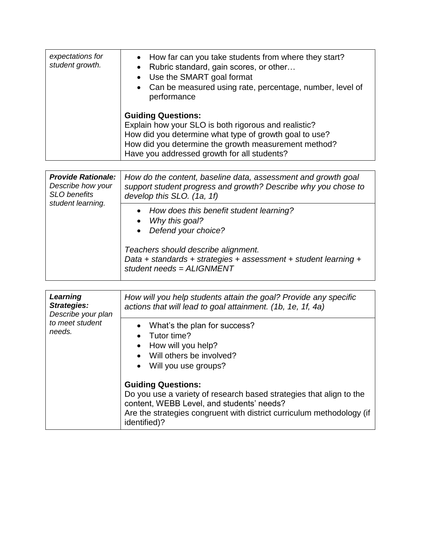| expectations for<br>student growth. | • How far can you take students from where they start?<br>Rubric standard, gain scores, or other<br>$\bullet$<br>• Use the SMART goal format<br>• Can be measured using rate, percentage, number, level of<br>performance                          |
|-------------------------------------|----------------------------------------------------------------------------------------------------------------------------------------------------------------------------------------------------------------------------------------------------|
|                                     | <b>Guiding Questions:</b><br>Explain how your SLO is both rigorous and realistic?<br>How did you determine what type of growth goal to use?<br>How did you determine the growth measurement method?<br>Have you addressed growth for all students? |

| <b>Provide Rationale:</b><br>Describe how your<br><b>SLO</b> benefits<br>student learning. | How do the content, baseline data, assessment and growth goal<br>support student progress and growth? Describe why you chose to<br>develop this SLO. (1a, 1f) |
|--------------------------------------------------------------------------------------------|---------------------------------------------------------------------------------------------------------------------------------------------------------------|
|                                                                                            | • How does this benefit student learning?<br>Why this goal?<br>• Defend your choice?                                                                          |
|                                                                                            | Teachers should describe alignment.<br>Data + standards + strategies + assessment + student learning +<br>student needs = ALIGNMENT                           |

| Learning<br><b>Strategies:</b><br>Describe your plan<br>to meet student<br>needs. | How will you help students attain the goal? Provide any specific<br>actions that will lead to goal attainment. (1b, 1e, 1f, 4a)                                                                                                        |
|-----------------------------------------------------------------------------------|----------------------------------------------------------------------------------------------------------------------------------------------------------------------------------------------------------------------------------------|
|                                                                                   | What's the plan for success?<br>Tutor time?<br>How will you help?<br>Will others be involved?<br>Will you use groups?                                                                                                                  |
|                                                                                   | <b>Guiding Questions:</b><br>Do you use a variety of research based strategies that align to the<br>content, WEBB Level, and students' needs?<br>Are the strategies congruent with district curriculum methodology (if<br>identified)? |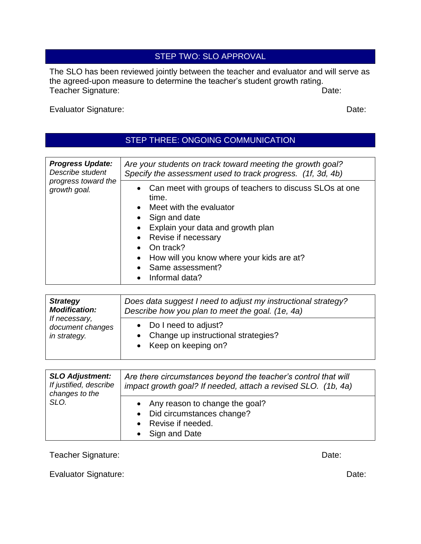### STEP TWO: SLO APPROVAL

The SLO has been reviewed jointly between the teacher and evaluator and will serve as the agreed-upon measure to determine the teacher's student growth rating. Teacher Signature: Date: Date:

Evaluator Signature: Date: Date: Date: Date: Date: Date: Date: Date: Date: Date: Date: Date: Date: Date: Date: Date: Date: Date: Date: Date: Date: Date: Date: Date: Date: Date: Date: Date: Date: Date: Date: Date: Date: Dat

### STEP THREE: ONGOING COMMUNICATION

| <b>Progress Update:</b>             | Are your students on track toward meeting the growth goal?                                                                                                                                                                                                                             |
|-------------------------------------|----------------------------------------------------------------------------------------------------------------------------------------------------------------------------------------------------------------------------------------------------------------------------------------|
| Describe student                    | Specify the assessment used to track progress. (1f, 3d, 4b)                                                                                                                                                                                                                            |
| progress toward the<br>growth goal. | • Can meet with groups of teachers to discuss SLOs at one<br>time.<br>• Meet with the evaluator<br>• Sign and date<br>• Explain your data and growth plan<br>• Revise if necessary<br>On track?<br>How will you know where your kids are at?<br>• Same assessment?<br>• Informal data? |

| <b>Strategy</b><br><b>Modification:</b><br>If necessary,<br>document changes<br>in strategy. | Does data suggest I need to adjust my instructional strategy?<br>Describe how you plan to meet the goal. (1e, 4a) |
|----------------------------------------------------------------------------------------------|-------------------------------------------------------------------------------------------------------------------|
|                                                                                              | • Do I need to adjust?<br>• Change up instructional strategies?<br>• Keep on keeping on?                          |

| <b>SLO Adjustment:</b><br>If justified, describe<br>changes to the<br>SLO. | Are there circumstances beyond the teacher's control that will<br>impact growth goal? If needed, attach a revised SLO. (1b, 4a) |
|----------------------------------------------------------------------------|---------------------------------------------------------------------------------------------------------------------------------|
|                                                                            | • Any reason to change the goal?<br>• Did circumstances change?<br>• Revise if needed.<br>• Sign and Date                       |

Teacher Signature: **Date:** Date: Date: Date: Date: Date: Date: Date: Date: Date: Date: Date: Date: Date: Date: Date: Date: Date: Date: Date: Date: Date: Date: Date: Date: Date: Date: Date: Date: Date: Date: Date: Date: Dat

Evaluator Signature: Date: Date: Date: Date: Date: Date: Date: Date: Date: Date: Date: Date: Date: Date: Date: Date: Date: Date: Date: Date: Date: Date: Date: Date: Date: Date: Date: Date: Date: Date: Date: Date: Date: Dat